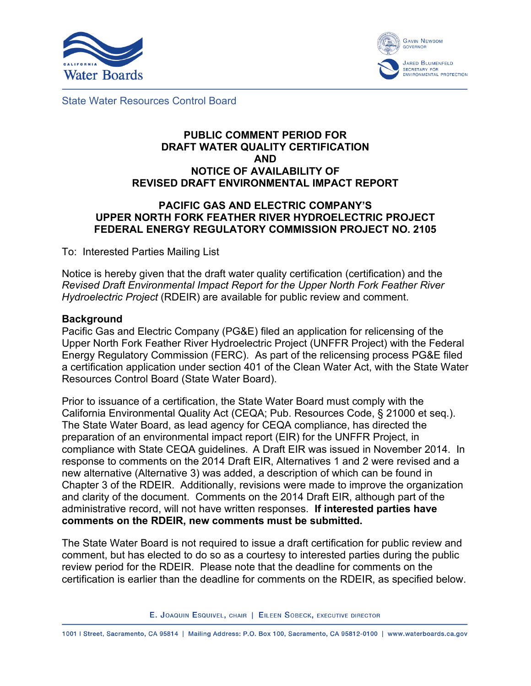



State Water Resources Control Board

#### **PUBLIC COMMENT PERIOD FOR DRAFT WATER QUALITY CERTIFICATION AND NOTICE OF AVAILABILITY OF REVISED DRAFT ENVIRONMENTAL IMPACT REPORT**

## **PACIFIC GAS AND ELECTRIC COMPANY'S UPPER NORTH FORK FEATHER RIVER HYDROELECTRIC PROJECT FEDERAL ENERGY REGULATORY COMMISSION PROJECT NO. 2105**

To: Interested Parties Mailing List

Notice is hereby given that the draft water quality certification (certification) and the *Revised Draft Environmental Impact Report for the Upper North Fork Feather River Hydroelectric Project* (RDEIR) are available for public review and comment.

#### **Background**

Pacific Gas and Electric Company (PG&E) filed an application for relicensing of the Upper North Fork Feather River Hydroelectric Project (UNFFR Project) with the Federal Energy Regulatory Commission (FERC). As part of the relicensing process PG&E filed a certification application under section 401 of the Clean Water Act, with the State Water Resources Control Board (State Water Board).

Prior to issuance of a certification, the State Water Board must comply with the California Environmental Quality Act (CEQA; Pub. Resources Code, § 21000 et seq.). The State Water Board, as lead agency for CEQA compliance, has directed the preparation of an environmental impact report (EIR) for the UNFFR Project, in compliance with State CEQA guidelines. A Draft EIR was issued in November 2014. In response to comments on the 2014 Draft EIR, Alternatives 1 and 2 were revised and a new alternative (Alternative 3) was added, a description of which can be found in Chapter 3 of the RDEIR. Additionally, revisions were made to improve the organization and clarity of the document. Comments on the 2014 Draft EIR, although part of the administrative record, will not have written responses. **If interested parties have comments on the RDEIR, new comments must be submitted.**

The State Water Board is not required to issue a draft certification for public review and comment, but has elected to do so as a courtesy to interested parties during the public review period for the RDEIR. Please note that the deadline for comments on the certification is earlier than the deadline for comments on the RDEIR, as specified below.

E. JOAQUIN ESQUIVEL, CHAIR | EILEEN SOBECK, EXECUTIVE DIRECTOR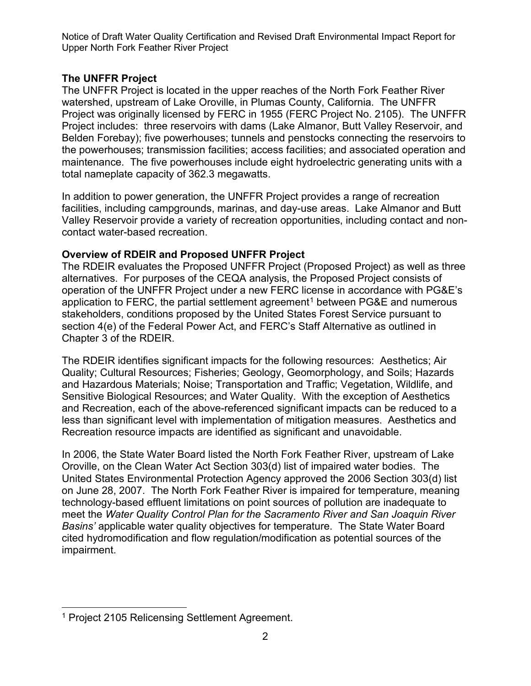# **The UNFFR Project**

The UNFFR Project is located in the upper reaches of the North Fork Feather River watershed, upstream of Lake Oroville, in Plumas County, California. The UNFFR Project was originally licensed by FERC in 1955 (FERC Project No. 2105). The UNFFR Project includes: three reservoirs with dams (Lake Almanor, Butt Valley Reservoir, and Belden Forebay); five powerhouses; tunnels and penstocks connecting the reservoirs to the powerhouses; transmission facilities; access facilities; and associated operation and maintenance. The five powerhouses include eight hydroelectric generating units with a total nameplate capacity of 362.3 megawatts.

In addition to power generation, the UNFFR Project provides a range of recreation facilities, including campgrounds, marinas, and day-use areas. Lake Almanor and Butt Valley Reservoir provide a variety of recreation opportunities, including contact and noncontact water-based recreation.

# **Overview of RDEIR and Proposed UNFFR Project**

The RDEIR evaluates the Proposed UNFFR Project (Proposed Project) as well as three alternatives. For purposes of the CEQA analysis, the Proposed Project consists of operation of the UNFFR Project under a new FERC license in accordance with PG&E's application to FERC, the partial settlement agreement<sup>[1](#page-1-0)</sup> between PG&E and numerous stakeholders, conditions proposed by the United States Forest Service pursuant to section 4(e) of the Federal Power Act, and FERC's Staff Alternative as outlined in Chapter 3 of the RDEIR.

The RDEIR identifies significant impacts for the following resources: Aesthetics; Air Quality; Cultural Resources; Fisheries; Geology, Geomorphology, and Soils; Hazards and Hazardous Materials; Noise; Transportation and Traffic; Vegetation, Wildlife, and Sensitive Biological Resources; and Water Quality. With the exception of Aesthetics and Recreation, each of the above-referenced significant impacts can be reduced to a less than significant level with implementation of mitigation measures. Aesthetics and Recreation resource impacts are identified as significant and unavoidable.

In 2006, the State Water Board listed the North Fork Feather River, upstream of Lake Oroville, on the Clean Water Act Section 303(d) list of impaired water bodies. The United States Environmental Protection Agency approved the 2006 Section 303(d) list on June 28, 2007. The North Fork Feather River is impaired for temperature, meaning technology-based effluent limitations on point sources of pollution are inadequate to meet the *Water Quality Control Plan for the Sacramento River and San Joaquin River Basins'* applicable water quality objectives for temperature. The State Water Board cited hydromodification and flow regulation/modification as potential sources of the impairment.

<span id="page-1-0"></span><sup>&</sup>lt;sup>1</sup> Project 2105 Relicensing Settlement Agreement.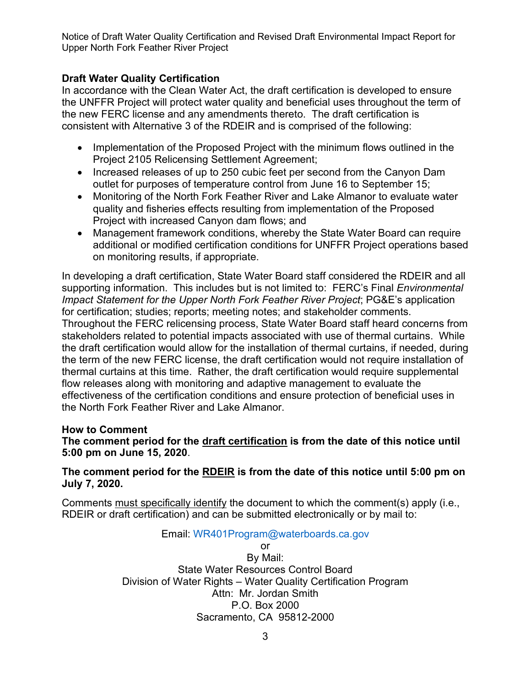## **Draft Water Quality Certification**

In accordance with the Clean Water Act, the draft certification is developed to ensure the UNFFR Project will protect water quality and beneficial uses throughout the term of the new FERC license and any amendments thereto. The draft certification is consistent with Alternative 3 of the RDEIR and is comprised of the following:

- Implementation of the Proposed Project with the minimum flows outlined in the Project 2105 Relicensing Settlement Agreement;
- Increased releases of up to 250 cubic feet per second from the Canyon Dam outlet for purposes of temperature control from June 16 to September 15;
- Monitoring of the North Fork Feather River and Lake Almanor to evaluate water quality and fisheries effects resulting from implementation of the Proposed Project with increased Canyon dam flows; and
- Management framework conditions, whereby the State Water Board can require additional or modified certification conditions for UNFFR Project operations based on monitoring results, if appropriate.

In developing a draft certification, State Water Board staff considered the RDEIR and all supporting information. This includes but is not limited to: FERC's Final *Environmental Impact Statement for the Upper North Fork Feather River Project*; PG&E's application for certification; studies; reports; meeting notes; and stakeholder comments. Throughout the FERC relicensing process, State Water Board staff heard concerns from stakeholders related to potential impacts associated with use of thermal curtains. While the draft certification would allow for the installation of thermal curtains, if needed, during the term of the new FERC license, the draft certification would not require installation of thermal curtains at this time. Rather, the draft certification would require supplemental flow releases along with monitoring and adaptive management to evaluate the effectiveness of the certification conditions and ensure protection of beneficial uses in the North Fork Feather River and Lake Almanor.

## **How to Comment**

## **The comment period for the draft certification is from the date of this notice until 5:00 pm on June 15, 2020**.

#### **The comment period for the RDEIR is from the date of this notice until 5:00 pm on July 7, 2020.**

Comments must specifically identify the document to which the comment(s) apply (i.e., RDEIR or draft certification) and can be submitted electronically or by mail to:

## Email: [WR401Program@waterboards.ca.gov](mailto:WR401Program@waterboards.ca.gov)

or By Mail: State Water Resources Control Board Division of Water Rights – Water Quality Certification Program Attn: Mr. Jordan Smith P.O. Box 2000 Sacramento, CA 95812-2000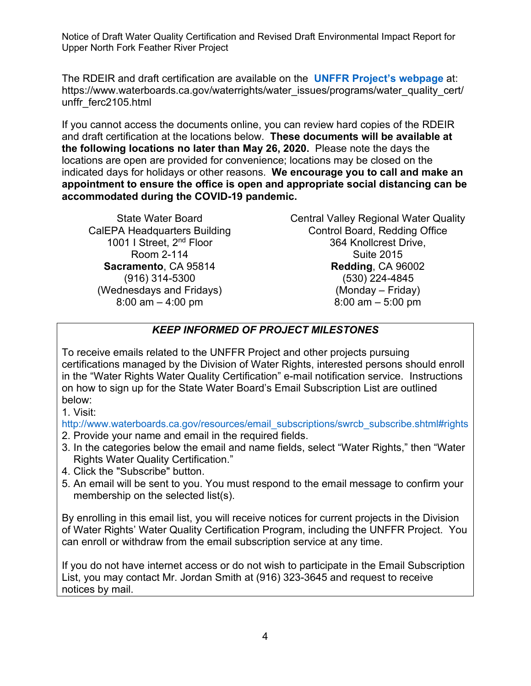The RDEIR and draft certification are available on the **UNFFR Project's [webpage](https://www.waterboards.ca.gov/waterrights/water_issues/programs/water_quality_cert/unffr_ferc2105.html)** at: https://www.waterboards.ca.gov/waterrights/water\_issues/programs/water\_quality\_cert/ unffr\_ferc2105.html

If you cannot access the documents online, you can review hard copies of the RDEIR and draft certification at the locations below. **These documents will be available at the following locations no later than May 26, 2020.** Please note the days the locations are open are provided for convenience; locations may be closed on the indicated days for holidays or other reasons. **We encourage you to call and make an appointment to ensure the office is open and appropriate social distancing can be accommodated during the COVID-19 pandemic.**

State Water Board CalEPA Headquarters Building 1001 I Street, 2<sup>nd</sup> Floor Room 2-114 **Sacramento**, CA 95814 (916) 314-5300 (Wednesdays and Fridays) 8:00 am – 4:00 pm

Central Valley Regional Water Quality Control Board, Redding Office 364 Knollcrest Drive, Suite 2015 **Redding**, CA 96002 (530) 224-4845 (Monday – Friday) 8:00 am – 5:00 pm

# *KEEP INFORMED OF PROJECT MILESTONES*

To receive emails related to the UNFFR Project and other projects pursuing certifications managed by the Division of Water Rights, interested persons should enroll in the "Water Rights Water Quality Certification" e-mail notification service. Instructions on how to sign up for the State Water Board's Email Subscription List are outlined below:

1. Visit:

[http://www.waterboards.ca.gov/resources/email\\_subscriptions/swrcb\\_subscribe.shtml#rights](https://www.waterboards.ca.gov/resources/email_subscriptions/swrcb_subscribe.html#rights)

- 2. Provide your name and email in the required fields.
- 3. In the categories below the email and name fields, select "Water Rights," then "Water Rights Water Quality Certification."
- 4. Click the "Subscribe" button.
- 5. An email will be sent to you. You must respond to the email message to confirm your membership on the selected list(s).

By enrolling in this email list, you will receive notices for current projects in the Division of Water Rights' Water Quality Certification Program, including the UNFFR Project. You can enroll or withdraw from the email subscription service at any time.

If you do not have internet access or do not wish to participate in the Email Subscription List, you may contact Mr. Jordan Smith at (916) 323-3645 and request to receive notices by mail.